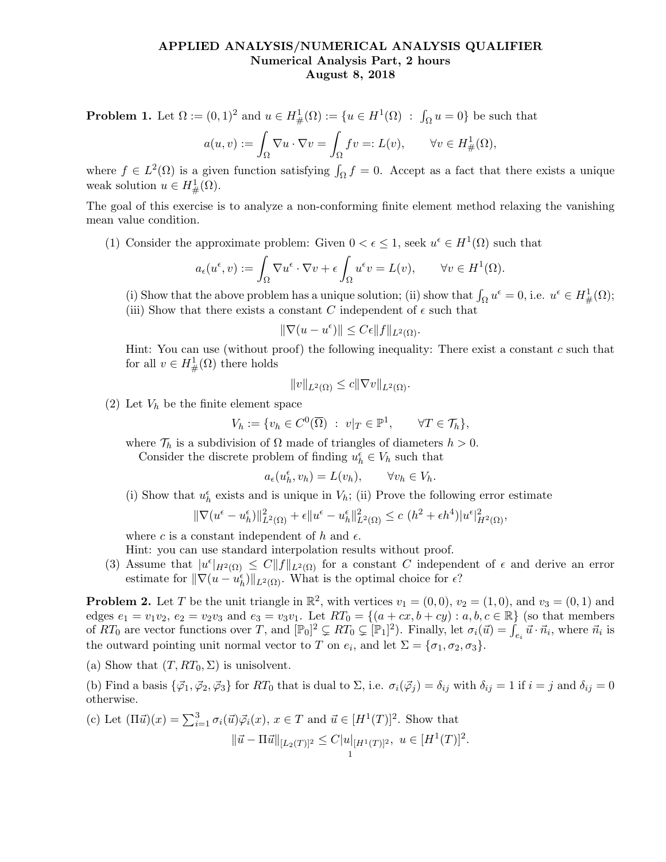## APPLIED ANALYSIS/NUMERICAL ANALYSIS QUALIFIER Numerical Analysis Part, 2 hours August 8, 2018

**Problem 1.** Let  $\Omega := (0,1)^2$  and  $u \in H^1_{\#}(\Omega) := \{u \in H^1(\Omega) : \int_{\Omega} u = 0\}$  be such that

$$
a(u,v):=\int_{\Omega}\nabla u\cdot\nabla v=\int_{\Omega}fv=:L(v),\qquad\forall v\in H^1_{\#}(\Omega),
$$

where  $f \in L^2(\Omega)$  is a given function satisfying  $\int_{\Omega} f = 0$ . Accept as a fact that there exists a unique weak solution  $u \in H^1_{\#}(\Omega)$ .

The goal of this exercise is to analyze a non-conforming finite element method relaxing the vanishing mean value condition.

(1) Consider the approximate problem: Given  $0 < \epsilon \leq 1$ , seek  $u^{\epsilon} \in H^{1}(\Omega)$  such that

$$
a_{\epsilon}(u^{\epsilon}, v) := \int_{\Omega} \nabla u^{\epsilon} \cdot \nabla v + \epsilon \int_{\Omega} u^{\epsilon} v = L(v), \qquad \forall v \in H^{1}(\Omega).
$$

(i) Show that the above problem has a unique solution; (ii) show that  $\int_{\Omega} u^{\epsilon} = 0$ , i.e.  $u^{\epsilon} \in H^1_{\#}(\Omega)$ ; (iii) Show that there exists a constant C independent of  $\epsilon$  such that

$$
\|\nabla(u - u^{\epsilon})\| \le C\epsilon \|f\|_{L^2(\Omega)}.
$$

Hint: You can use (without proof) the following inequality: There exist a constant  $c$  such that for all  $v \in H^1_{\#}(\Omega)$  there holds

$$
||v||_{L^2(\Omega)} \le c||\nabla v||_{L^2(\Omega)}.
$$

(2) Let  $V_h$  be the finite element space

$$
V_h := \{ v_h \in C^0(\overline{\Omega}) \ : \ v|_T \in \mathbb{P}^1, \qquad \forall T \in \mathcal{T}_h \},
$$

where  $\mathcal{T}_h$  is a subdivision of  $\Omega$  made of triangles of diameters  $h > 0$ .

Consider the discrete problem of finding  $u_h^{\epsilon} \in V_h$  such that

$$
a_{\epsilon}(u_h^{\epsilon}, v_h) = L(v_h), \qquad \forall v_h \in V_h.
$$

(i) Show that  $u_h^{\epsilon}$  exists and is unique in  $V_h$ ; (ii) Prove the following error estimate

$$
\|\nabla (u^{\epsilon} - u_h^{\epsilon})\|_{L^2(\Omega)}^2 + \epsilon \|u^{\epsilon} - u_h^{\epsilon}\|_{L^2(\Omega)}^2 \le c (h^2 + \epsilon h^4) |u^{\epsilon}|_{H^2(\Omega)}^2,
$$

where c is a constant independent of h and  $\epsilon$ .

Hint: you can use standard interpolation results without proof.

(3) Assume that  $|u^{\epsilon}|_{H^2(\Omega)} \leq C ||f||_{L^2(\Omega)}$  for a constant C independent of  $\epsilon$  and derive an error estimate for  $\|\nabla(u - u_h^{\epsilon})\|_{L^2(\Omega)}$ . What is the optimal choice for  $\epsilon$ ?

**Problem 2.** Let T be the unit triangle in  $\mathbb{R}^2$ , with vertices  $v_1 = (0,0)$ ,  $v_2 = (1,0)$ , and  $v_3 = (0,1)$  and edges  $e_1 = v_1v_2$ ,  $e_2 = v_2v_3$  and  $e_3 = v_3v_1$ . Let  $RT_0 = \{(a + cx, b + cy) : a, b, c \in \mathbb{R}\}\$  (so that members of  $RT_0$  are vector functions over T, and  $[\mathbb{P}_0]^2 \subsetneq RT_0 \subsetneq [\mathbb{P}_1]^2$ . Finally, let  $\sigma_i(\vec{u}) = \int_{e_i} \vec{u} \cdot \vec{n}_i$ , where  $\vec{n}_i$  is the outward pointing unit normal vector to T on  $e_i$ , and let  $\Sigma = {\sigma_1, \sigma_2, \sigma_3}$ .

(a) Show that  $(T, RT_0, \Sigma)$  is unisolvent.

(b) Find a basis  $\{\vec{\varphi}_1, \vec{\varphi}_2, \vec{\varphi}_3\}$  for  $RT_0$  that is dual to  $\Sigma$ , i.e.  $\sigma_i(\vec{\varphi}_j) = \delta_{ij}$  with  $\delta_{ij} = 1$  if  $i = j$  and  $\delta_{ij} = 0$ otherwise.

(c) Let 
$$
(\Pi \vec{u})(x) = \sum_{i=1}^{3} \sigma_i(\vec{u}) \vec{\varphi}_i(x), x \in T
$$
 and  $\vec{u} \in [H^1(T)]^2$ . Show that  

$$
\|\vec{u} - \Pi \vec{u}\|_{[L_2(T)]^2} \le C|u|_{[H^1(T)]^2}, u \in [H^1(T)]^2.
$$